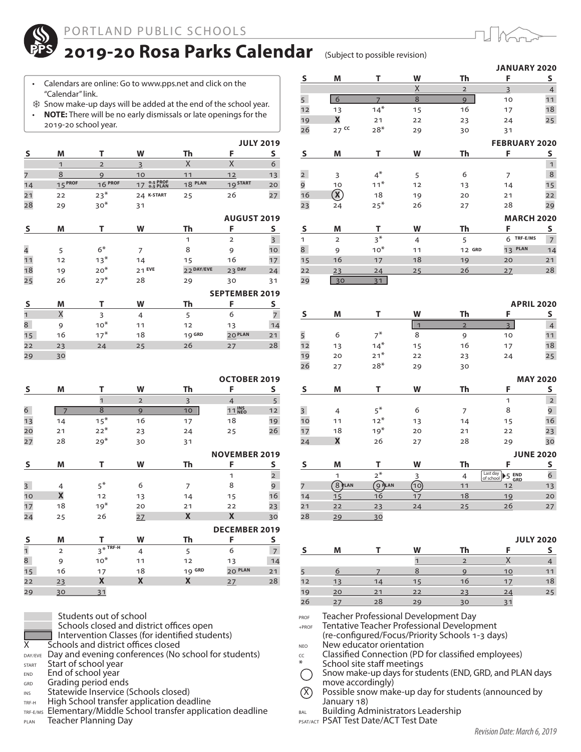

## 2019-20 Rosa Parks Calendar (Subject to possible revision)

- Calendars are online: Go to www.pps.net and click on the "Calendar" link.
- Snow make-up days will be added at the end of the school year. • **NOTE:** There will be no early dismissals or late openings for the 2019-20 school year.

|                |              |                |                                          |            |                       | <b>JULY 2019</b>        |
|----------------|--------------|----------------|------------------------------------------|------------|-----------------------|-------------------------|
| S              | M            | т              | W                                        | Th         | F                     | s                       |
|                | $\mathbf{1}$ | $\overline{2}$ | 3                                        | X          | X                     | 6                       |
| 7              | 8            | 9              | 10                                       | 11         | 12                    | 13                      |
| 14             | $15^{PROF}$  | $16$ PROF      | <b>o.5 PROF</b><br><b>o.5 PLAN</b><br>17 | 18 PLAN    | 19 START              | 20                      |
| 21             | 22           | $23*$          | 24 K-START                               | 25         | 26                    | 27                      |
| 28             | 29           | $30*$          | 31                                       |            |                       |                         |
|                |              |                |                                          |            | <b>AUGUST 2019</b>    |                         |
| S              | M            | т              | W                                        | Th         | F                     | S                       |
|                |              |                |                                          | 1          | $\overline{2}$        | $\overline{\mathbf{3}}$ |
| $\overline{4}$ | 5            | $6*$           | 7                                        | 8          | 9                     | 10                      |
| 11             | 12           | $13*$          | 14                                       | 15         | 16                    | 17                      |
| 18             | 19           | $20*$          | 21 EVE                                   | 22 DAY/EVE | 23 DAY                | 24                      |
| 25             | 26           | $27*$          | 28                                       | 29         | 30                    | 31                      |
|                |              |                |                                          |            | <b>SEPTEMBER 2019</b> |                         |
| S              | M            | т              | W                                        | Th         | F                     | S                       |
| $\mathbf{1}$   | X            | 3              | 4                                        | 5          | 6                     | $\overline{7}$          |
| 8              | 9            | $10*$          | 11                                       | 12         | 13                    | 14                      |
| 15             | 16           | $17*$          | 18                                       | 19 GRD     | 20 PLAN               | 21                      |
| 22             | 23           | 24             | 25                                       | 26         | 27                    | 28                      |
| 29             | 30           |                |                                          |            |                       |                         |

|                         |                         |                |                |                | <b>OCTOBER 2019</b>  |                |
|-------------------------|-------------------------|----------------|----------------|----------------|----------------------|----------------|
| S                       | M                       | т              | W              | Th             | F                    | S              |
|                         |                         | $\overline{1}$ | $\overline{2}$ | $\overline{3}$ | $\overline{4}$       | 5              |
| 6                       | $\overline{7}$          | 8              | 9              | 10             | 11 INS               | 12             |
| 13                      | 14                      | $15*$          | 16             | 17             | 18                   | 19             |
| 20                      | 21                      | $22*$          | 23             | 24             | 25                   | 26             |
| 27                      | 28                      | $29*$          | 30             | 31             |                      |                |
|                         |                         |                |                |                | <b>NOVEMBER 2019</b> |                |
| S                       | M                       | т              | W              | Th             | F                    | S              |
|                         |                         |                |                |                | 1                    | $\overline{2}$ |
| $\overline{\mathbf{3}}$ | 4                       | $5^*$          | 6              | 7              | 8                    | 9              |
| 10                      | $\overline{\mathbf{X}}$ | 12             | 13             | 14             | 15                   | 16             |
| 17                      | 18                      | $19*$          | 20             | 21             | 22                   | 23             |
| 24                      | 25                      | 26             | 27             | X              | X                    | 30             |
|                         |                         |                |                |                | <b>DECEMBER 2019</b> |                |
| $\overline{\mathbf{S}}$ | M                       | т              | W              | Th             | F                    | S              |
| 1                       | $\overline{2}$          | $3*$ TRF-H     | $\overline{4}$ | 5              | 6                    | $\overline{7}$ |
| 8                       | 9                       | $10*$          | 11             | 12             | 13                   | 14             |
| 15                      | 16                      | 17             | 18             | 19 GRD         | 20 PLAN              | 21             |
| 22                      | 23                      | X              | X              | X              | 27                   | 28             |
| 29                      | 30                      | 31             |                |                |                      |                |



Students out of school<br>Schools closed and district offices open

Intervention Classes (for identified students)<br>X Schools and district offices closed Schools and district offices closed

DAY/EVE Day and evening conferences (No school for students)

- START Start of school year
- END End of school year
- GRD Grading period ends
- INS Statewide Inservice (Schools closed)
- TRF-H High School transfer application deadline
- TRF-E/MS Elementary/Middle School transfer application deadline
- PLAN Teacher Planning Day

|                          |                           |                      |                |                | <b>JANUARY 2020</b>  |                   |
|--------------------------|---------------------------|----------------------|----------------|----------------|----------------------|-------------------|
| ${\sf s}$                | M                         | T                    | W              | Th             | F                    | S                 |
|                          |                           |                      | Χ              | $\overline{2}$ | $\overline{3}$       | $\overline{4}$    |
| 5                        | 6                         | $\overline{7}$       | $\overline{8}$ | 9              | 10                   | 11                |
| 12                       | 13                        | $14*$                | 15             | 16             | 17                   | 18                |
| 19                       | $\boldsymbol{\mathsf{X}}$ | 21                   | 22             | 23             | 24                   | 25                |
| 26                       | $27$ cc                   | $28*$                | 29             | 30             | 31                   |                   |
|                          |                           |                      |                |                | <b>FEBRUARY 2020</b> |                   |
| $\mathsf{s}$             | M                         | T                    | W              | Th             | F                    | $\mathsf{S}\,$    |
|                          |                           |                      |                |                |                      | $\mathbf{1}$      |
| $\overline{2}$           | $\overline{3}$            | $4^*$                | 5              | 6              | $\overline{7}$       | $\,8\,$           |
| 9                        | 10                        | $11*$                | 12             | 13             | 14                   | 15                |
| 16                       | $\widehat{\mathbf{X}}$    | 18                   | 19             | 20             | 21                   | 22                |
| 23                       | 24                        | $25*$                | 26             | 27             | 28                   | 29                |
|                          |                           |                      |                |                | <b>MARCH 2020</b>    |                   |
| $\mathsf{s}$             | M                         | T                    | W              | Th             | F                    | S                 |
| $\mathbf{1}$             | $\overline{2}$            | $3^*$                | $\overline{4}$ | 5              | TRF-E/MS<br>6        | $\overline{7}$    |
| 8                        | 9                         | $10*$                | 11             | 12 GRD         | <b>PLAN</b><br>13    | 14                |
| 15                       | 16                        | 17                   | 18             | 19             | 20                   | 21                |
| 22                       | 23                        | 24                   | 25             | 26             | 27                   | 28                |
| 29                       | 30                        | 31                   |                |                |                      |                   |
|                          |                           |                      |                |                |                      |                   |
|                          |                           |                      |                |                |                      | <b>APRIL 2020</b> |
| S                        | M                         | т                    | W              | Th             | F                    | S                 |
|                          |                           |                      | $\overline{1}$ | $\overline{2}$ | $\overline{3}$       | $\overline{4}$    |
| 5                        | 6                         | $7^*$                | 8              | 9              | 10                   | 11                |
| 12                       | 13                        | $14*$                | 15             | 16             | 17                   | 18                |
| 19                       | 20                        | $21*$                | 22             | 23             | 24                   | 25                |
| $\overline{\phantom{a}}$ |                           | $\sim$ $\mathcal{R}$ |                |                |                      |                   |

| 26 | 27             | $28*$    | 29 | 30 |                                       |                  |
|----|----------------|----------|----|----|---------------------------------------|------------------|
|    |                |          |    |    |                                       | <b>MAY 2020</b>  |
| S  | M              |          | W  | Th | F                                     | S                |
|    |                |          |    |    | 1                                     | $\overline{2}$   |
| 3  | $\overline{4}$ | $5^*$    | 6  | 7  | 8                                     | 9                |
| 10 | 11             | $12*$    | 13 | 14 | 15                                    | 16               |
| 17 | 18             | $19*$    | 20 | 21 | 22                                    | 23               |
| 24 | X              | 26       | 27 | 28 | 29                                    | 30               |
|    |                |          |    |    |                                       | <b>JUNE 2020</b> |
| s  | M              |          | W  | Th | F                                     | S                |
|    | 1              | $2^*$    | 3  | 4  | Last day<br>5 END<br>GRD<br>of school | 6                |
|    | 8 PLAN         | $9$ PLAN | 10 | 11 | 12                                    | 13               |
| 14 | 15             | 16       | 17 | 18 | 19                                    | 20               |
| 21 | 22             | 23       | 24 | 25 | 26                                    | 27               |
| 28 | 20             | 20       |    |    |                                       |                  |

28 29 30

|    |    |    |    |    | <b>JULY 2020</b> |    |  |
|----|----|----|----|----|------------------|----|--|
|    | M  |    | W  | Th |                  |    |  |
|    |    |    |    |    |                  |    |  |
|    |    |    |    |    | 10               |    |  |
| 12 | 13 | 14 | 15 | 16 | 17               | 18 |  |
| 19 | 20 | 21 | 22 | 23 | 24               | 25 |  |
| 26 | 27 | 28 | 29 | 30 |                  |    |  |

PROF Teacher Professional Development Day

+PROF Tentative Teacher Professional Development

(re-configured/Focus/Priority Schools 1-3 days) NEO New educator orientation

 $cc$  Classified Connection (PD for classified employees)

- School site staff meetings
- Snow make-up days for students (END, GRD, and PLAN days move accordingly)
- $(X)$  Possible snow make-up day for students (announced by January 18)
- BAL Building Administrators Leadership

PSAT/ACT PSAT Test Date/ACT Test Date